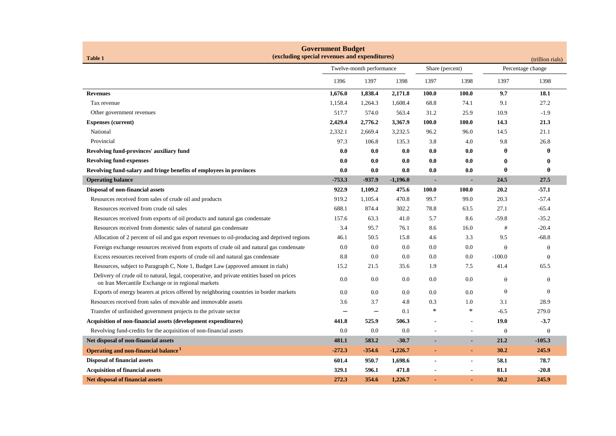| <b>Government Budget</b><br>(excluding special revenues and expenditures)                                                                        |                          |          |            |                 |                |                                       |          |  |
|--------------------------------------------------------------------------------------------------------------------------------------------------|--------------------------|----------|------------|-----------------|----------------|---------------------------------------|----------|--|
| <b>Table 1</b>                                                                                                                                   | Twelve-month performance |          |            | Share (percent) |                | (trillion rials)<br>Percentage change |          |  |
|                                                                                                                                                  | 1396                     | 1397     | 1398       | 1397            | 1398           | 1397                                  | 1398     |  |
| <b>Revenues</b>                                                                                                                                  | 1,676.0                  | 1,838.4  | 2,171.8    | 100.0           | 100.0          | 9.7                                   | 18.1     |  |
| Tax revenue                                                                                                                                      | 1,158.4                  | 1,264.3  | 1,608.4    | 68.8            | 74.1           | 9.1                                   | 27.2     |  |
| Other government revenues                                                                                                                        | 517.7                    | 574.0    | 563.4      | 31.2            | 25.9           | 10.9                                  | $-1.9$   |  |
| <b>Expenses (current)</b>                                                                                                                        | 2,429.4                  | 2,776.2  | 3,367.9    | 100.0           | 100.0          | 14.3                                  | 21.3     |  |
| National                                                                                                                                         | 2,332.1                  | 2,669.4  | 3,232.5    | 96.2            | 96.0           | 14.5                                  | 21.1     |  |
| Provincial                                                                                                                                       | 97.3                     | 106.8    | 135.3      | 3.8             | 4.0            | 9.8                                   | 26.8     |  |
| Revolving fund-provinces' auxiliary fund                                                                                                         | 0.0                      | 0.0      | 0.0        | 0.0             | 0.0            | θ                                     | θ        |  |
| <b>Revolving fund-expenses</b>                                                                                                                   | 0.0                      | 0.0      | 0.0        | 0.0             | 0.0            | θ                                     | θ        |  |
| Revolving fund-salary and fringe benefits of employees in provinces                                                                              | 0.0                      | 0.0      | 0.0        | 0.0             | 0.0            | θ                                     | θ        |  |
| <b>Operating balance</b>                                                                                                                         | $-753.3$                 | $-937.9$ | $-1,196.0$ | $\blacksquare$  | ۰              | 24.5                                  | 27.5     |  |
| Disposal of non-financial assets                                                                                                                 | 922.9                    | 1,109.2  | 475.6      | 100.0           | 100.0          | 20.2                                  | $-57.1$  |  |
| Resources received from sales of crude oil and products                                                                                          | 919.2                    | 1,105.4  | 470.8      | 99.7            | 99.0           | 20.3                                  | $-57.4$  |  |
| Resources received from crude oil sales                                                                                                          | 688.1                    | 874.4    | 302.2      | 78.8            | 63.5           | 27.1                                  | $-65.4$  |  |
| Resources received from exports of oil products and natural gas condensate                                                                       | 157.6                    | 63.3     | 41.0       | 5.7             | 8.6            | $-59.8$                               | $-35.2$  |  |
| Resources received from domestic sales of natural gas condensate                                                                                 | 3.4                      | 95.7     | 76.1       | 8.6             | 16.0           | #                                     | $-20.4$  |  |
| Allocation of 2 percent of oil and gas export revenues to oil-producing and deprived regions                                                     | 46.1                     | 50.5     | 15.8       | 4.6             | 3.3            | 9.5                                   | $-68.8$  |  |
| Foreign exchange resources received from exports of crude oil and natural gas condensate                                                         | 0.0                      | 0.0      | 0.0        | 0.0             | 0.0            | $\theta$                              | θ        |  |
| Excess resources received from exports of crude oil and natural gas condensate                                                                   | 8.8                      | 0.0      | 0.0        | 0.0             | 0.0            | $-100.0$                              | θ        |  |
| Resources, subject to Paragraph C, Note 1, Budget Law (approved amount in rials)                                                                 | 15.2                     | 21.5     | 35.6       | 1.9             | 7.5            | 41.4                                  | 65.5     |  |
| Delivery of crude oil to natural, legal, cooperative, and private entities based on prices<br>on Iran Mercantile Exchange or in regional markets | 0.0                      | 0.0      | 0.0        | 0.0             | 0.0            | $\theta$                              | θ        |  |
| Exports of energy bearers at prices offered by neighboring countries in border markets                                                           | 0.0                      | 0.0      | 0.0        | 0.0             | 0.0            | $\theta$                              | θ        |  |
| Resources received from sales of movable and immovable assets                                                                                    | 3.6                      | 3.7      | 4.8        | 0.3             | 1.0            | 3.1                                   | 28.9     |  |
| Transfer of unfinished government projects to the private sector                                                                                 |                          |          | 0.1        | ∗               | $\ast$         | $-6.5$                                | 279.0    |  |
| Acquisition of non-financial assets (development expenditures)                                                                                   | 441.8                    | 525.9    | 506.3      | $\blacksquare$  |                | 19.0                                  | $-3.7$   |  |
| Revolving fund-credits for the acquisition of non-financial assets                                                                               | 0.0                      | 0.0      | 0.0        | ÷,              | $\sim$         | $\theta$                              | $\theta$ |  |
| Net disposal of non-financial assets                                                                                                             | 481.1                    | 583.2    | $-30.7$    |                 | ٠              | 21.2                                  | $-105.3$ |  |
| Operating and non-financial balance <sup>1</sup>                                                                                                 | $-272.3$                 | $-354.6$ | $-1,226.7$ | ٠               | $\blacksquare$ | 30.2                                  | 245.9    |  |
| <b>Disposal of financial assets</b>                                                                                                              | 601.4                    | 950.7    | 1,698.6    | ÷,              | $\blacksquare$ | 58.1                                  | 78.7     |  |
| <b>Acquisition of financial assets</b>                                                                                                           | 329.1                    | 596.1    | 471.8      | $\blacksquare$  |                | 81.1                                  | $-20.8$  |  |
| <b>Net disposal of financial assets</b>                                                                                                          | 272.3                    | 354.6    | 1,226.7    |                 |                | 30.2                                  | 245.9    |  |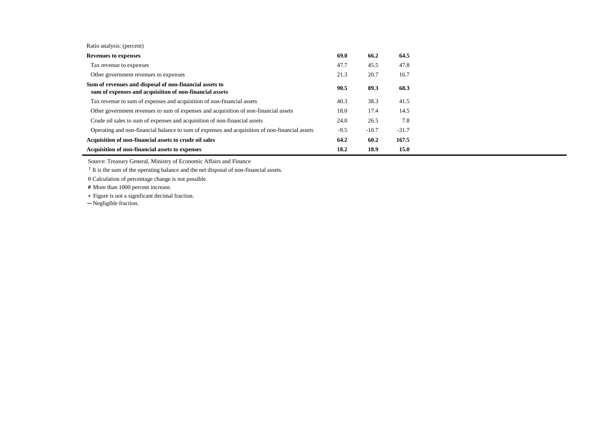| <b>Revenues to expenses</b>                                                                                        | 69.0   | 66.2    | 64.5    |
|--------------------------------------------------------------------------------------------------------------------|--------|---------|---------|
| Tax revenue to expenses                                                                                            | 47.7   | 45.5    | 47.8    |
| Other government revenues to expenses                                                                              | 21.3   | 20.7    | 16.7    |
| Sum of revenues and disposal of non-financial assets to<br>sum of expenses and acquisition of non-financial assets | 90.5   | 89.3    | 68.3    |
| Tax revenue to sum of expenses and acquisition of non-financial assets                                             | 40.3   | 38.3    | 41.5    |
| Other government revenues to sum of expenses and acquisition of non-financial assets                               | 18.0   | 17.4    | 14.5    |
| Crude oil sales to sum of expenses and acquisition of non-financial assets                                         | 24.0   | 26.5    | 7.8     |
| Operating and non-financial balance to sum of expenses and acquisition of non-financial assets                     | $-9.5$ | $-10.7$ | $-31.7$ |
| Acquisition of non-financial assets to crude oil sales                                                             | 64.2   | 60.2    | 167.5   |
| Acquisition of non-financial assets to expenses                                                                    | 18.2   | 18.9    | 15.0    |

Source: Treasury General, Ministry of Economic Affairs and Finance

<sup>1</sup> It is the sum of the operating balance and the net disposal of non-financial assets.

 $\theta$  Calculation of percentage change is not possible.

 **#** More than 1000 percent increase.

Figure is not a significant decimal fraction.

─ Negligible fraction.